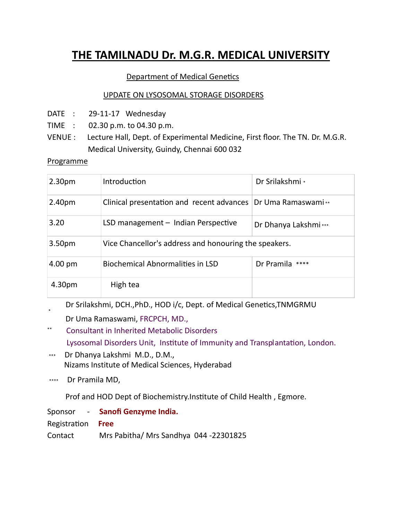## **THE TAMILNADU Dr. M.G.R. MEDICAL UNIVERSITY**

## Department of Medical Genetics

## UPDATE ON LYSOSOMAL STORAGE DISORDERS

- DATE : 29-11-17 Wednesday
- TIME : 02.30 p.m. to 04.30 p.m.
- VENUE : Lecture Hall, Dept. of Experimental Medicine, First floor. The TN. Dr. M.G.R. Medical University, Guindy, Chennai 600 032

Programme

| 2.30 <sub>pm</sub> | Introduction                                                 | Dr Srilakshmi *      |
|--------------------|--------------------------------------------------------------|----------------------|
| 2.40pm             | Clinical presentation and recent advances Dr Uma Ramaswami** |                      |
| 3.20               | LSD management - Indian Perspective                          | Dr Dhanya Lakshmi*** |
| 3.50 <sub>pm</sub> | Vice Chancellor's address and honouring the speakers.        |                      |
| $4.00 \text{ pm}$  | <b>Biochemical Abnormalities in LSD</b>                      | Dr Pramila<br>****   |
| 4.30pm             | High tea                                                     |                      |

\* Dr Srilakshmi, DCH., PhD., HOD i/c, Dept. of Medical Genetics, TNMGRMU

- Dr Uma Ramaswami, FRCPCH, MD.,
- \*\* Consultant in Inherited Metabolic Disorders Lysosomal Disorders Unit, Institute of Immunity and Transplantation, London.
- \*\*\* Dr Dhanya Lakshmi M.D., D.M., Nizams Institute of Medical Sciences, Hyderabad
- \*\*\*\* Dr Pramila MD,

Prof and HOD Dept of Biochemistry.Institute of Child Health, Egmore.

Sponsor ‐ **Sanofi Genzyme India.** RegistraƟon **Free**

Contact Mrs Pabitha/ Mrs Sandhya 044 ‐22301825